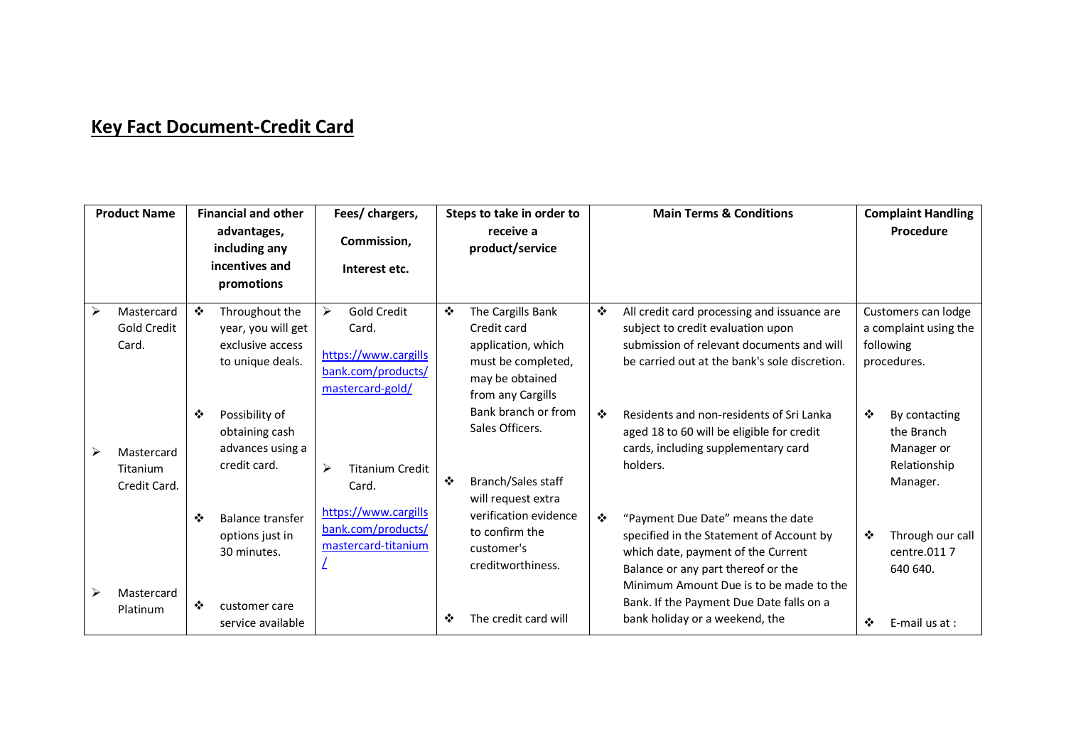## **Key Fact Document-Credit Card**

| <b>Product Name</b> |                                        | <b>Financial and other</b>   |                                                                              | Fees/ chargers,                                                                                                        | Steps to take in order to    |                                                                                                                                                                  | <b>Main Terms &amp; Conditions</b> |                                                                                                                                                                                                      | <b>Complaint Handling</b> |                                                                          |
|---------------------|----------------------------------------|------------------------------|------------------------------------------------------------------------------|------------------------------------------------------------------------------------------------------------------------|------------------------------|------------------------------------------------------------------------------------------------------------------------------------------------------------------|------------------------------------|------------------------------------------------------------------------------------------------------------------------------------------------------------------------------------------------------|---------------------------|--------------------------------------------------------------------------|
|                     |                                        | advantages,<br>including any |                                                                              | Commission,                                                                                                            | receive a<br>product/service |                                                                                                                                                                  |                                    |                                                                                                                                                                                                      |                           | Procedure                                                                |
|                     |                                        |                              | incentives and<br>promotions                                                 | Interest etc.                                                                                                          |                              |                                                                                                                                                                  |                                    |                                                                                                                                                                                                      |                           |                                                                          |
| ➤                   | Mastercard<br>Gold Credit<br>Card.     | ❖                            | Throughout the<br>year, you will get<br>exclusive access<br>to unique deals. | $\blacktriangleright$<br><b>Gold Credit</b><br>Card.<br>https://www.cargills<br>bank.com/products/<br>mastercard-gold/ | ❖                            | The Cargills Bank<br>Credit card<br>application, which<br>must be completed,<br>may be obtained<br>from any Cargills                                             | ❖                                  | All credit card processing and issuance are<br>subject to credit evaluation upon<br>submission of relevant documents and will<br>be carried out at the bank's sole discretion.                       |                           | Customers can lodge<br>a complaint using the<br>following<br>procedures. |
|                     | Mastercard<br>Titanium<br>Credit Card. | ❖                            | Possibility of<br>obtaining cash<br>advances using a<br>credit card.         | ≻<br><b>Titanium Credit</b><br>Card.                                                                                   | ❖                            | Bank branch or from<br>Sales Officers.<br>Branch/Sales staff<br>will request extra<br>verification evidence<br>to confirm the<br>customer's<br>creditworthiness. | ❖<br>$\frac{1}{2}$                 | Residents and non-residents of Sri Lanka<br>aged 18 to 60 will be eligible for credit<br>cards, including supplementary card<br>holders.                                                             | ❖                         | By contacting<br>the Branch<br>Manager or<br>Relationship<br>Manager.    |
|                     |                                        | ❖                            | <b>Balance transfer</b><br>options just in<br>30 minutes.                    | https://www.cargills<br>bank.com/products/<br>mastercard-titanium                                                      |                              |                                                                                                                                                                  |                                    | "Payment Due Date" means the date<br>specified in the Statement of Account by<br>which date, payment of the Current<br>Balance or any part thereof or the<br>Minimum Amount Due is to be made to the | ❖                         | Through our call<br>centre.0117<br>640 640.                              |
|                     | Mastercard<br>Platinum                 | ❖                            | customer care<br>service available                                           |                                                                                                                        | ❖                            | The credit card will                                                                                                                                             |                                    | Bank. If the Payment Due Date falls on a<br>bank holiday or a weekend, the                                                                                                                           | ❖                         | E-mail us at :                                                           |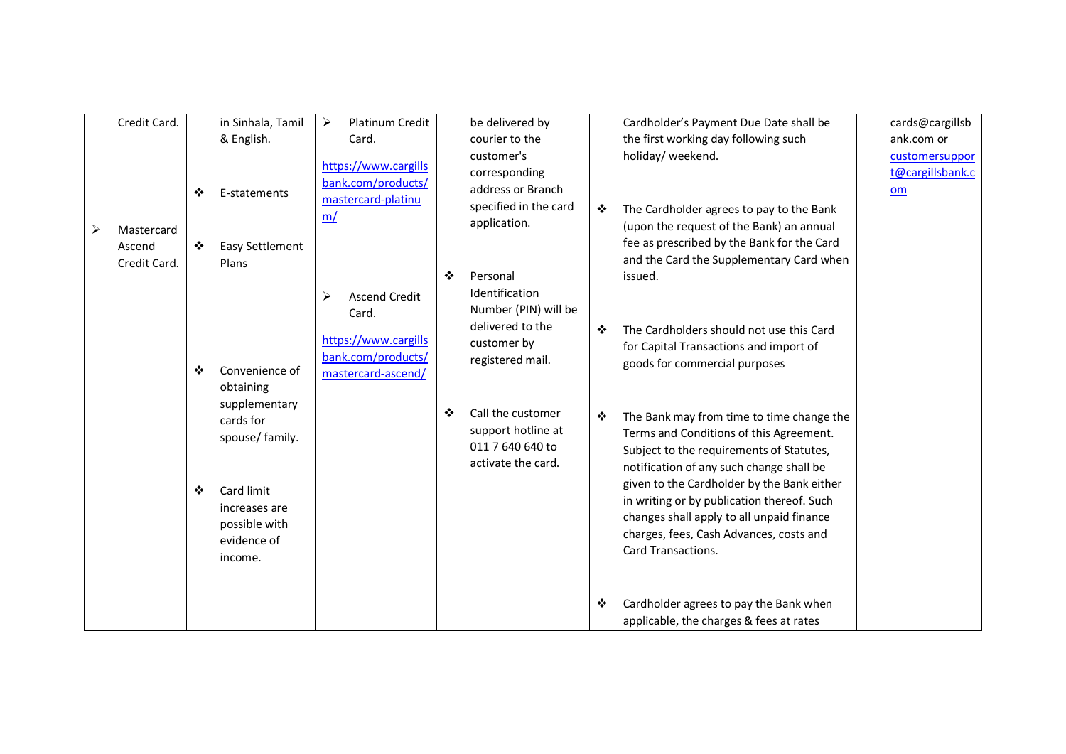|   | Credit Card.                         |   | in Sinhala, Tamil                                                            | Platinum Credit<br>➤                                                                                                                                                                       |                                                                                   | be delivered by                                                                                                                                                                                        |                                                                                                                                                                              | Cardholder's Payment Due Date shall be                                                                                                                                                                 | cards@cargillsb                          |
|---|--------------------------------------|---|------------------------------------------------------------------------------|--------------------------------------------------------------------------------------------------------------------------------------------------------------------------------------------|-----------------------------------------------------------------------------------|--------------------------------------------------------------------------------------------------------------------------------------------------------------------------------------------------------|------------------------------------------------------------------------------------------------------------------------------------------------------------------------------|--------------------------------------------------------------------------------------------------------------------------------------------------------------------------------------------------------|------------------------------------------|
|   |                                      |   | & English.                                                                   | Card.                                                                                                                                                                                      |                                                                                   | courier to the                                                                                                                                                                                         |                                                                                                                                                                              | the first working day following such                                                                                                                                                                   | ank.com or                               |
| ➤ | Mastercard<br>Ascend<br>Credit Card. | ❖ | E-statements                                                                 | https://www.cargills<br>bank.com/products/<br>mastercard-platinu<br>m/<br>❖<br><b>Ascend Credit</b><br>➤<br>Card.<br>https://www.cargills<br>bank.com/products/<br>mastercard-ascend/<br>❖ |                                                                                   | customer's<br>corresponding<br>address or Branch<br>specified in the card<br>application.<br>Personal<br>Identification<br>Number (PIN) will be<br>delivered to the<br>customer by<br>registered mail. | ❖<br>$\frac{1}{2}$                                                                                                                                                           | holiday/ weekend.<br>The Cardholder agrees to pay to the Bank<br>(upon the request of the Bank) an annual                                                                                              | customersuppor<br>t@cargillsbank.c<br>om |
|   |                                      | ❖ | Easy Settlement<br>Plans                                                     |                                                                                                                                                                                            |                                                                                   |                                                                                                                                                                                                        |                                                                                                                                                                              | fee as prescribed by the Bank for the Card<br>and the Card the Supplementary Card when<br>issued.                                                                                                      |                                          |
|   |                                      | ❖ | Convenience of<br>obtaining<br>supplementary<br>cards for<br>spouse/ family. |                                                                                                                                                                                            |                                                                                   |                                                                                                                                                                                                        |                                                                                                                                                                              | The Cardholders should not use this Card<br>for Capital Transactions and import of<br>goods for commercial purposes                                                                                    |                                          |
|   |                                      |   |                                                                              |                                                                                                                                                                                            | Call the customer<br>support hotline at<br>011 7 640 640 to<br>activate the card. | ❖                                                                                                                                                                                                      | The Bank may from time to time change the<br>Terms and Conditions of this Agreement.<br>Subject to the requirements of Statutes,<br>notification of any such change shall be |                                                                                                                                                                                                        |                                          |
|   |                                      | ❖ | Card limit<br>increases are<br>possible with<br>evidence of<br>income.       |                                                                                                                                                                                            |                                                                                   |                                                                                                                                                                                                        |                                                                                                                                                                              | given to the Cardholder by the Bank either<br>in writing or by publication thereof. Such<br>changes shall apply to all unpaid finance<br>charges, fees, Cash Advances, costs and<br>Card Transactions. |                                          |
|   |                                      |   |                                                                              |                                                                                                                                                                                            |                                                                                   |                                                                                                                                                                                                        | ❖                                                                                                                                                                            | Cardholder agrees to pay the Bank when<br>applicable, the charges & fees at rates                                                                                                                      |                                          |